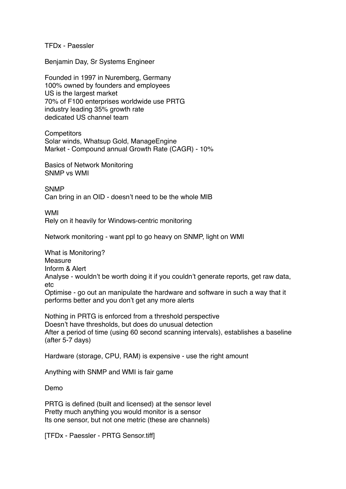TFDx - Paessler

Benjamin Day, Sr Systems Engineer

Founded in 1997 in Nuremberg, Germany 100% owned by founders and employees US is the largest market 70% of F100 enterprises worldwide use PRTG industry leading 35% growth rate dedicated US channel team

**Competitors** Solar winds, Whatsup Gold, ManageEngine Market - Compound annual Growth Rate (CAGR) - 10%

Basics of Network Monitoring SNMP vs WMI

**SNMP** Can bring in an OID - doesn't need to be the whole MIB

WMI Rely on it heavily for Windows-centric monitoring

Network monitoring - want ppl to go heavy on SNMP, light on WMI

What is Monitoring? Measure Inform & Alert Analyse - wouldn't be worth doing it if you couldn't generate reports, get raw data, etc Optimise - go out an manipulate the hardware and software in such a way that it performs better and you don't get any more alerts

Nothing in PRTG is enforced from a threshold perspective Doesn't have thresholds, but does do unusual detection After a period of time (using 60 second scanning intervals), establishes a baseline (after 5-7 days)

Hardware (storage, CPU, RAM) is expensive - use the right amount

Anything with SNMP and WMI is fair game

Demo

PRTG is defined (built and licensed) at the sensor level Pretty much anything you would monitor is a sensor Its one sensor, but not one metric (these are channels)

[TFDx - Paessler - PRTG Sensor.tiff]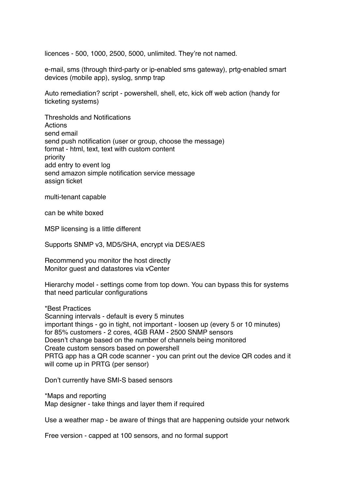licences - 500, 1000, 2500, 5000, unlimited. They're not named.

e-mail, sms (through third-party or ip-enabled sms gateway), prtg-enabled smart devices (mobile app), syslog, snmp trap

Auto remediation? script - powershell, shell, etc, kick off web action (handy for ticketing systems)

Thresholds and Notifications **Actions** send email send push notification (user or group, choose the message) format - html, text, text with custom content priority add entry to event log send amazon simple notification service message assign ticket

multi-tenant capable

can be white boxed

MSP licensing is a little different

Supports SNMP v3, MD5/SHA, encrypt via DES/AES

Recommend you monitor the host directly Monitor guest and datastores via vCenter

Hierarchy model - settings come from top down. You can bypass this for systems that need particular configurations

\*Best Practices Scanning intervals - default is every 5 minutes important things - go in tight, not important - loosen up (every 5 or 10 minutes) for 85% customers - 2 cores, 4GB RAM - 2500 SNMP sensors Doesn't change based on the number of channels being monitored Create custom sensors based on powershell PRTG app has a QR code scanner - you can print out the device QR codes and it will come up in PRTG (per sensor)

Don't currently have SMI-S based sensors

\*Maps and reporting Map designer - take things and layer them if required

Use a weather map - be aware of things that are happening outside your network

Free version - capped at 100 sensors, and no formal support